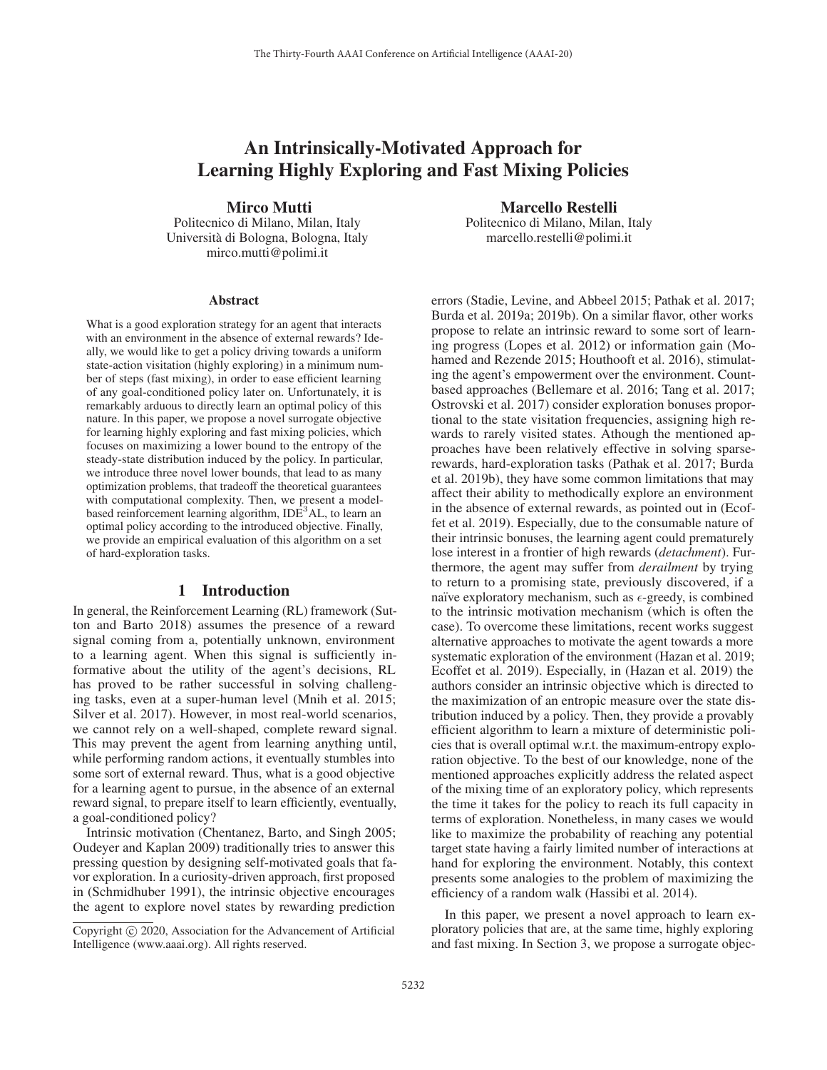# An Intrinsically-Motivated Approach for Learning Highly Exploring and Fast Mixing Policies

Mirco Mutti

Politecnico di Milano, Milan, Italy Universita di Bologna, Bologna, Italy ` mirco.mutti@polimi.it

#### **Abstract**

What is a good exploration strategy for an agent that interacts with an environment in the absence of external rewards? Ideally, we would like to get a policy driving towards a uniform state-action visitation (highly exploring) in a minimum number of steps (fast mixing), in order to ease efficient learning of any goal-conditioned policy later on. Unfortunately, it is remarkably arduous to directly learn an optimal policy of this nature. In this paper, we propose a novel surrogate objective for learning highly exploring and fast mixing policies, which focuses on maximizing a lower bound to the entropy of the steady-state distribution induced by the policy. In particular, we introduce three novel lower bounds, that lead to as many optimization problems, that tradeoff the theoretical guarantees with computational complexity. Then, we present a modelbased reinforcement learning algorithm,  $IDE<sup>3</sup>AL$ , to learn an optimal policy according to the introduced objective. Finally, we provide an empirical evaluation of this algorithm on a set of hard-exploration tasks.

#### 1 Introduction

In general, the Reinforcement Learning (RL) framework (Sutton and Barto 2018) assumes the presence of a reward signal coming from a, potentially unknown, environment to a learning agent. When this signal is sufficiently informative about the utility of the agent's decisions, RL has proved to be rather successful in solving challenging tasks, even at a super-human level (Mnih et al. 2015; Silver et al. 2017). However, in most real-world scenarios, we cannot rely on a well-shaped, complete reward signal. This may prevent the agent from learning anything until, while performing random actions, it eventually stumbles into some sort of external reward. Thus, what is a good objective for a learning agent to pursue, in the absence of an external reward signal, to prepare itself to learn efficiently, eventually, a goal-conditioned policy?

Intrinsic motivation (Chentanez, Barto, and Singh 2005; Oudeyer and Kaplan 2009) traditionally tries to answer this pressing question by designing self-motivated goals that favor exploration. In a curiosity-driven approach, first proposed in (Schmidhuber 1991), the intrinsic objective encourages the agent to explore novel states by rewarding prediction

Marcello Restelli Politecnico di Milano, Milan, Italy marcello.restelli@polimi.it

errors (Stadie, Levine, and Abbeel 2015; Pathak et al. 2017; Burda et al. 2019a; 2019b). On a similar flavor, other works propose to relate an intrinsic reward to some sort of learning progress (Lopes et al. 2012) or information gain (Mohamed and Rezende 2015; Houthooft et al. 2016), stimulating the agent's empowerment over the environment. Countbased approaches (Bellemare et al. 2016; Tang et al. 2017; Ostrovski et al. 2017) consider exploration bonuses proportional to the state visitation frequencies, assigning high rewards to rarely visited states. Athough the mentioned approaches have been relatively effective in solving sparserewards, hard-exploration tasks (Pathak et al. 2017; Burda et al. 2019b), they have some common limitations that may affect their ability to methodically explore an environment in the absence of external rewards, as pointed out in (Ecoffet et al. 2019). Especially, due to the consumable nature of their intrinsic bonuses, the learning agent could prematurely lose interest in a frontier of high rewards (*detachment*). Furthermore, the agent may suffer from *derailment* by trying to return to a promising state, previously discovered, if a naïve exploratory mechanism, such as  $\epsilon$ -greedy, is combined to the intrinsic motivation mechanism (which is often the case). To overcome these limitations, recent works suggest alternative approaches to motivate the agent towards a more systematic exploration of the environment (Hazan et al. 2019; Ecoffet et al. 2019). Especially, in (Hazan et al. 2019) the authors consider an intrinsic objective which is directed to the maximization of an entropic measure over the state distribution induced by a policy. Then, they provide a provably efficient algorithm to learn a mixture of deterministic policies that is overall optimal w.r.t. the maximum-entropy exploration objective. To the best of our knowledge, none of the mentioned approaches explicitly address the related aspect of the mixing time of an exploratory policy, which represents the time it takes for the policy to reach its full capacity in terms of exploration. Nonetheless, in many cases we would like to maximize the probability of reaching any potential target state having a fairly limited number of interactions at hand for exploring the environment. Notably, this context presents some analogies to the problem of maximizing the efficiency of a random walk (Hassibi et al. 2014).

In this paper, we present a novel approach to learn exploratory policies that are, at the same time, highly exploring and fast mixing. In Section 3, we propose a surrogate objec-

Copyright  $\odot$  2020, Association for the Advancement of Artificial Intelligence (www.aaai.org). All rights reserved.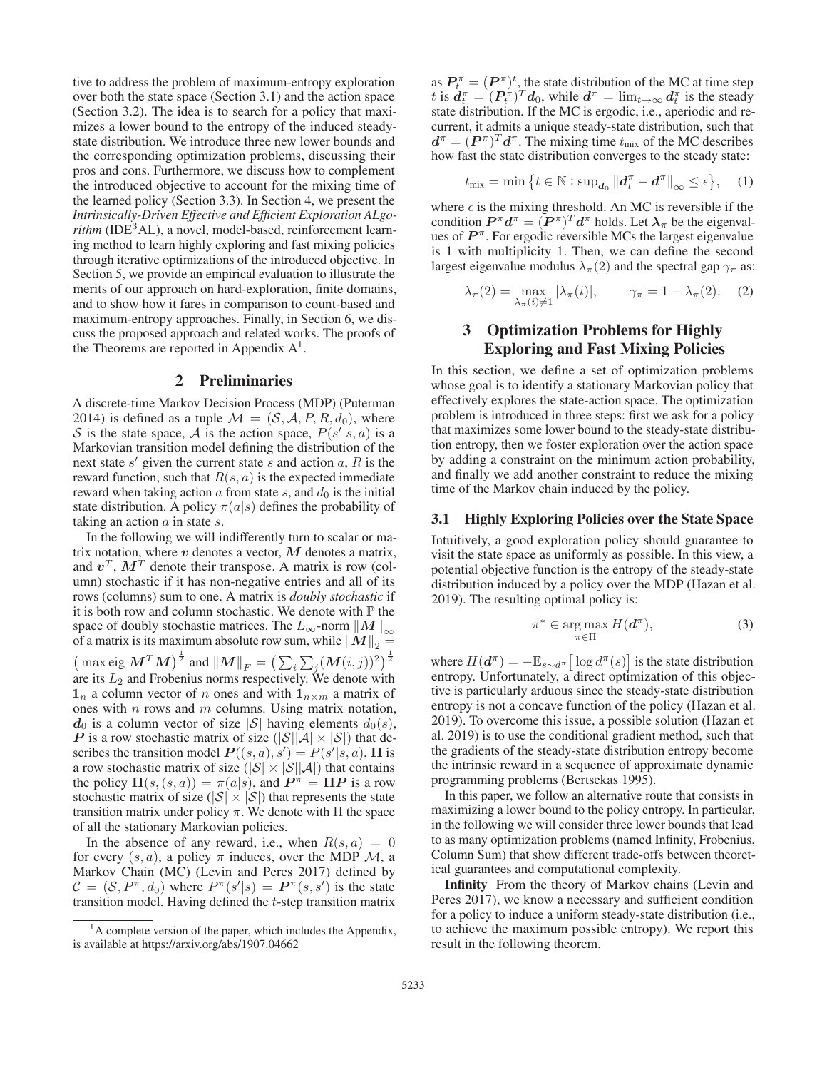tive to address the problem of maximum-entropy exploration over both the state space (Section 3.1) and the action space (Section 3.2). The idea is to search for a policy that maximizes a lower bound to the entropy of the induced steadystate distribution. We introduce three new lower bounds and the corresponding optimization problems, discussing their pros and cons. Furthermore, we discuss how to complement the introduced objective to account for the mixing time of the learned policy (Section 3.3). In Section 4, we present the *Intrinsically-Driven Effective and Efficient Exploration ALgo* $rithm$  ( $IDE<sup>3</sup>AL$ ), a novel, model-based, reinforcement learning method to learn highly exploring and fast mixing policies through iterative optimizations of the introduced objective. In Section 5, we provide an empirical evaluation to illustrate the merits of our approach on hard-exploration, finite domains, and to show how it fares in comparison to count-based and maximum-entropy approaches. Finally, in Section 6, we discuss the proposed approach and related works. The proofs of the Theorems are reported in Appendix  $A^1$ .

### 2 Preliminaries

A discrete-time Markov Decision Process (MDP) (Puterman 2014) is defined as a tuple  $\mathcal{M} = (\mathcal{S}, \mathcal{A}, P, R, d_0)$ , where S is the state space, A is the action space,  $P(s'|s, a)$  is a Markovian transition model defining the distribution of the next state  $s'$  given the current state s and action  $a, R$  is the reward function, such that  $R(s, a)$  is the expected immediate reward when taking action  $\alpha$  from state  $s$ , and  $d_0$  is the initial state distribution. A policy  $\pi(a|s)$  defines the probability of taking an action  $\alpha$  in state  $s$ .

In the following we will indifferently turn to scalar or matrix notation, where *v* denotes a vector, *M* denotes a matrix, and  $v^T$ ,  $M^T$  denote their transpose. A matrix is row (column) stochastic if it has non-negative entries and all of its rows (columns) sum to one. A matrix is *doubly stochastic* if it is both row and column stochastic. We denote with  $\mathbb P$  the space of doubly stochastic matrices. The  $L_{\infty}$ -norm  $||M||$ of a matrix is its maximum absolute row sum, while  $||M||_2 =$  $\left(\, \max \! \big\{\exp M^T M \big)^{\frac{1}{2}} \text{ and } \| M \|_F = \big( \sum_i \sum_j (M(i,j))^2 \big)^{\frac{1}{2}}$ are its  $L_2$  and Frobenius norms respectively. We denote with  $\mathbf{1}_n$  a column vector of n ones and with  $\mathbf{1}_{n \times m}$  a matrix of ones with  $n$  rows and  $m$  columns. Using matrix notation,  $d_0$  is a column vector of size  $|S|$  having elements  $d_0(s)$ , *P* is a row stochastic matrix of size  $(|\mathcal{S}||\mathcal{A}| \times |\mathcal{S}|)$  that describes the transition model  $P((s, a), s') = P(s'|s, a)$ , **Π** is a row stochastic matrix of size  $(|S| \times |S||A|)$  that contains the policy  $\Pi(s,(s,a)) = \pi(a|s)$ , and  $P^{\pi} = \Pi P$  is a row stochastic matrix of size ( $|\mathcal{S}| \times |\mathcal{S}|$ ) that represents the state transition matrix under policy π. We denote with Π the space of all the stationary Markovian policies.

In the absence of any reward, i.e., when  $R(s, a) = 0$ for every  $(s, a)$ , a policy  $\pi$  induces, over the MDP  $\mathcal{M}$ , a Markov Chain (MC) (Levin and Peres 2017) defined by  $\mathcal{C} = (\mathcal{S}, P^{\pi}, d_0)$  where  $P^{\pi}(s'|s) = P^{\pi}(s, s')$  is the state transition model. Having defined the t-step transition matrix

as  $P_t^{\pi} = (P^{\pi})^t$ , the state distribution of the MC at time step t is  $d_t^{\pi} = (P_t^{\pi})^T d_0$ , while  $d^{\pi} = \lim_{t \to \infty} d_t^{\pi}$  is the steady state distribution. If the MC is ergodic, i.e., aperiodic and recurrent, it admits a unique steady-state distribution, such that  $d^{\pi} = (P^{\pi})^T d^{\pi}$ . The mixing time  $t_{\text{mix}}$  of the MC describes how fast the state distribution converges to the steady state:

$$
t_{\text{mix}} = \min \left\{ t \in \mathbb{N} : \sup_{\mathbf{d}_0} \left\| \mathbf{d}_t^{\pi} - \mathbf{d}^{\pi} \right\|_{\infty} \leq \epsilon \right\}, \quad (1)
$$

where  $\epsilon$  is the mixing threshold. An MC is reversible if the condition  $P^{\pi} d^{\pi} = (P^{\pi})^T d^{\pi}$  holds. Let  $\lambda_{\pi}$  be the eigenvalues of  $P^{\pi}$ . For ergodic reversible MCs the largest eigenvalue is 1 with multiplicity 1. Then, we can define the second largest eigenvalue modulus  $\lambda_{\pi}(2)$  and the spectral gap  $\gamma_{\pi}$  as:

$$
\lambda_{\pi}(2) = \max_{\lambda_{\pi}(i) \neq 1} |\lambda_{\pi}(i)|, \qquad \gamma_{\pi} = 1 - \lambda_{\pi}(2). \quad (2)
$$

# 3 Optimization Problems for Highly Exploring and Fast Mixing Policies

In this section, we define a set of optimization problems whose goal is to identify a stationary Markovian policy that effectively explores the state-action space. The optimization problem is introduced in three steps: first we ask for a policy that maximizes some lower bound to the steady-state distribution entropy, then we foster exploration over the action space by adding a constraint on the minimum action probability, and finally we add another constraint to reduce the mixing time of the Markov chain induced by the policy.

### 3.1 Highly Exploring Policies over the State Space

Intuitively, a good exploration policy should guarantee to visit the state space as uniformly as possible. In this view, a potential objective function is the entropy of the steady-state distribution induced by a policy over the MDP (Hazan et al. 2019). The resulting optimal policy is:

$$
\pi^* \in \operatorname*{arg\,max}_{\pi \in \Pi} H(\mathbf{d}^\pi),\tag{3}
$$

where  $H(d^{\pi}) = -\mathbb{E}_{s \sim d^{\pi}} \left[ \log d^{\pi}(s) \right]$  is the state distribution entropy. Unfortunately, a direct optimization of this objective is particularly arduous since the steady-state distribution entropy is not a concave function of the policy (Hazan et al. 2019). To overcome this issue, a possible solution (Hazan et al. 2019) is to use the conditional gradient method, such that the gradients of the steady-state distribution entropy become the intrinsic reward in a sequence of approximate dynamic programming problems (Bertsekas 1995).

In this paper, we follow an alternative route that consists in maximizing a lower bound to the policy entropy. In particular, in the following we will consider three lower bounds that lead to as many optimization problems (named Infinity, Frobenius, Column Sum) that show different trade-offs between theoretical guarantees and computational complexity.

Infinity From the theory of Markov chains (Levin and Peres 2017), we know a necessary and sufficient condition for a policy to induce a uniform steady-state distribution (i.e., to achieve the maximum possible entropy). We report this result in the following theorem.

<sup>&</sup>lt;sup>1</sup>A complete version of the paper, which includes the Appendix, is available at https://arxiv.org/abs/1907.04662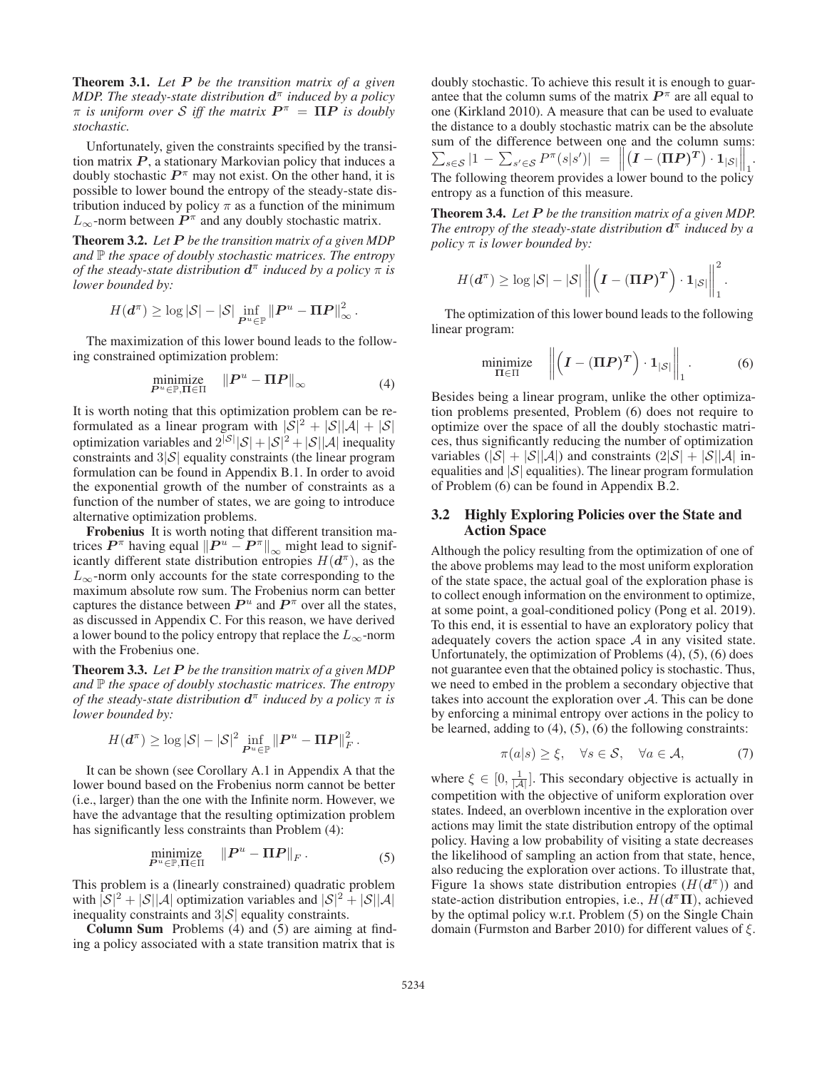Theorem 3.1. *Let P be the transition matrix of a given MDP. The steady-state distribution d*<sup>π</sup> *induced by a policy*  $\pi$  *is uniform over S iff the matrix*  $P^{\pi} = \Pi P$  *is doubly stochastic.*

Unfortunately, given the constraints specified by the transition matrix  $P$ , a stationary Markovian policy that induces a doubly stochastic  $P^{\pi}$  may not exist. On the other hand, it is possible to lower bound the entropy of the steady-state distribution induced by policy  $\pi$  as a function of the minimum  $L_{\infty}$ -norm between  $P^{\pi}$  and any doubly stochastic matrix.

Theorem 3.2. *Let P be the transition matrix of a given MDP and*  $\mathbb P$  *the space of doubly stochastic matrices. The entropy of the steady-state distribution*  $d^{\pi}$  *induced by a policy*  $\pi$  *is lower bounded by:*

$$
H(\boldsymbol{d}^{\pi}) \geq \log |\mathcal{S}| - |\mathcal{S}| \inf_{\boldsymbol{P}^u \in \mathbb{P}} \| \boldsymbol{P}^u - \boldsymbol{\Pi} \boldsymbol{P} \|_{\infty}^2.
$$

The maximization of this lower bound leads to the following constrained optimization problem:

$$
\underset{P^u \in \mathbb{P}, \Pi \in \Pi}{\text{minimize}} \quad \|P^u - \Pi P\|_{\infty} \tag{4}
$$

It is worth noting that this optimization problem can be reformulated as a linear program with  $|\mathcal{S}|^2 + |\mathcal{S}||\mathcal{A}| + |\mathcal{S}|$ optimization variables and  $2^{|S|} |S| + |S|^2 + |S||A|$  inequality constraints and  $3|\mathcal{S}|$  equality constraints (the linear program formulation can be found in Appendix B.1. In order to avoid the exponential growth of the number of constraints as a function of the number of states, we are going to introduce alternative optimization problems.

Frobenius It is worth noting that different transition matrices  $P^{\pi}$  having equal  $||P^u - P^{\pi}||_{\infty}$  might lead to significantly different state distribution properties  $U(A^{\pi})$  as the icantly different state distribution entropies  $H(d^{\pi})$ , as the  $L_{\infty}$ -norm only accounts for the state corresponding to the maximum absolute row sum. The Frobenius norm can better captures the distance between  $P^u$  and  $P^{\pi}$  over all the states, as discussed in Appendix C. For this reason, we have derived a lower bound to the policy entropy that replace the  $L_{\infty}$ -norm with the Frobenius one.

Theorem 3.3. *Let P be the transition matrix of a given MDP and*  $\mathbb P$  *the space of doubly stochastic matrices. The entropy of the steady-state distribution*  $d^{\pi}$  *induced by a policy*  $\pi$  *is lower bounded by:*

$$
H(\boldsymbol{d}^{\pi}) \geq \log |\mathcal{S}| - |\mathcal{S}|^2 \inf_{\boldsymbol{P}^u \in \mathbb{P}} \| \boldsymbol{P}^u - \boldsymbol{\Pi} \boldsymbol{P} \|_F^2.
$$

It can be shown (see Corollary A.1 in Appendix A that the lower bound based on the Frobenius norm cannot be better (i.e., larger) than the one with the Infinite norm. However, we have the advantage that the resulting optimization problem has significantly less constraints than Problem (4):

$$
\underset{P^u \in \mathbb{P}, \Pi \in \Pi}{\text{minimize}} \quad \|P^u - \Pi P\|_F. \tag{5}
$$

This problem is a (linearly constrained) quadratic problem with  $|\mathcal{S}|^2 + |\mathcal{S}||\mathcal{A}|$  optimization variables and  $|\mathcal{S}|^2 + |\mathcal{S}||\mathcal{A}|$ inequality constraints and  $3|\mathcal{S}|$  equality constraints.

Column Sum Problems (4) and (5) are aiming at finding a policy associated with a state transition matrix that is

doubly stochastic. To achieve this result it is enough to guarantee that the column sums of the matrix  $P^{\pi}$  are all equal to one (Kirkland 2010). A measure that can be used to evaluate the distance to a doubly stochastic matrix can be the absolute sum of the difference between one and the column sums:  $\sum_{s \in \mathcal{S}} |1 - \sum_{s' \in \mathcal{S}} P^{\pi}(s|s')| = \left\| \sum_{s \in \mathcal{S}} |1 - \sum_{s' \in \mathcal{S}} P^{\pi}(s|s')| \right\|$  $(I - (\Pi P)^T) \cdot 1_{|S|} \bigg|_1.$ The following theorem provides a lower bound to the policy entropy as a function of this measure.

Theorem 3.4. *Let P be the transition matrix of a given MDP. The entropy of the steady-state distribution*  $d^{\pi}$  *induced by a policy* π *is lower bounded by:*

$$
H(\boldsymbol{d}^{\pi}) \geq \log |\mathcal{S}| - |\mathcal{S}| \left\| \left( \boldsymbol{I} - (\boldsymbol{\Pi} \boldsymbol{P})^{\boldsymbol{T}} \right) \cdot \boldsymbol{1}_{|\mathcal{S}|} \right\|_{1}^{2}.
$$

The optimization of this lower bound leads to the following linear program:

$$
\underset{\Pi \in \Pi}{\text{minimize}} \quad \left\| \left( I - (\Pi P)^T \right) \cdot \mathbf{1}_{|S|} \right\|_1. \tag{6}
$$

Besides being a linear program, unlike the other optimization problems presented, Problem (6) does not require to optimize over the space of all the doubly stochastic matrices, thus significantly reducing the number of optimization variables  $(|\mathcal{S}| + |\mathcal{S}||\mathcal{A}|)$  and constraints  $(|\mathcal{S}| + |\mathcal{S}||\mathcal{A}|)$  inequalities and  $|S|$  equalities). The linear program formulation of Problem (6) can be found in Appendix B.2.

### 3.2 Highly Exploring Policies over the State and Action Space

Although the policy resulting from the optimization of one of the above problems may lead to the most uniform exploration of the state space, the actual goal of the exploration phase is to collect enough information on the environment to optimize, at some point, a goal-conditioned policy (Pong et al. 2019). To this end, it is essential to have an exploratory policy that adequately covers the action space  $A$  in any visited state. Unfortunately, the optimization of Problems (4), (5), (6) does not guarantee even that the obtained policy is stochastic. Thus, we need to embed in the problem a secondary objective that takes into account the exploration over A. This can be done by enforcing a minimal entropy over actions in the policy to be learned, adding to  $(4)$ ,  $(5)$ ,  $(6)$  the following constraints:

$$
\pi(a|s) \ge \xi, \quad \forall s \in \mathcal{S}, \quad \forall a \in \mathcal{A}, \tag{7}
$$

where  $\xi \in [0, \frac{1}{|\mathcal{A}|}]$ . This secondary objective is actually in competition with the objective of uniform exploration over states. Indeed, an overblown incentive in the exploration over actions may limit the state distribution entropy of the optimal policy. Having a low probability of visiting a state decreases the likelihood of sampling an action from that state, hence, also reducing the exploration over actions. To illustrate that, Figure 1a shows state distribution entropies  $(H(d^{\pi}))$  and state-action distribution entropies, i.e., H(*d*<sup>π</sup>**Π**), achieved by the optimal policy w.r.t. Problem (5) on the Single Chain domain (Furmston and Barber 2010) for different values of ξ.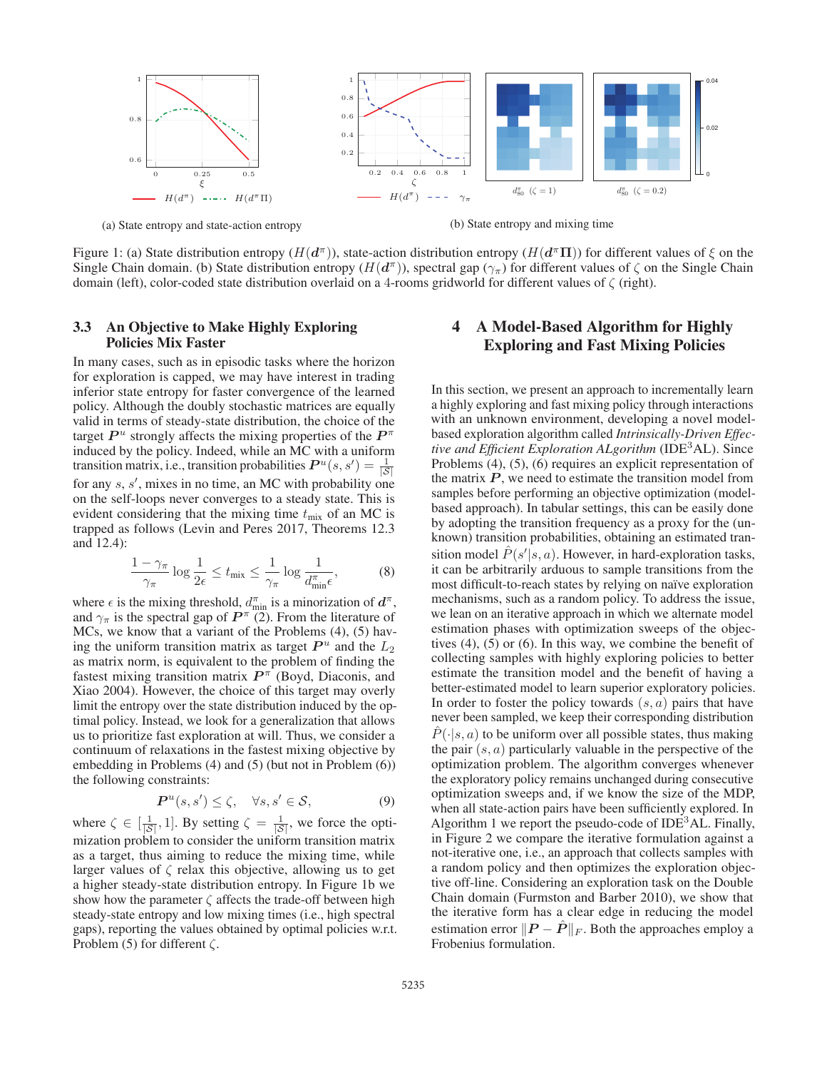

(a) State entropy and state-action entropy

(b) State entropy and mixing time

Figure 1: (a) State distribution entropy  $(H(d^{\pi}))$ , state-action distribution entropy  $(H(d^{\pi}\Pi))$  for different values of  $\xi$  on the Single Chain domain. (b) State distribution entropy  $(H(d^{\pi}))$ , spectral gap  $(\gamma_{\pi})$  for different values of  $\zeta$  on the Single Chain domain (left), color-coded state distribution overlaid on a 4-rooms gridworld for different values of ζ (right).

### 3.3 An Objective to Make Highly Exploring Policies Mix Faster

In many cases, such as in episodic tasks where the horizon for exploration is capped, we may have interest in trading inferior state entropy for faster convergence of the learned policy. Although the doubly stochastic matrices are equally valid in terms of steady-state distribution, the choice of the target  $P^u$  strongly affects the mixing properties of the  $P^{\pi}$ induced by the policy. Indeed, while an MC with a uniform transition matrix, i.e., transition probabilities  $P^u(s, s') = \frac{1}{|S|}$ for any  $s, s'$ , mixes in no time, an MC with probability one on the self-loops never converges to a steady state. This is evident considering that the mixing time  $t_{\text{mix}}$  of an MC is trapped as follows (Levin and Peres 2017, Theorems 12.3 and 12.4):

$$
\frac{1-\gamma_{\pi}}{\gamma_{\pi}}\log\frac{1}{2\epsilon} \le t_{\max} \le \frac{1}{\gamma_{\pi}}\log\frac{1}{d_{\min}^{\pi}\epsilon},\tag{8}
$$

where  $\epsilon$  is the mixing threshold,  $d_{\min}^{\pi}$  is a minorization of  $d^{\pi}$ , and  $\gamma_{\pi}$  is the spectral gap of  $P^{\pi}$  (2). From the literature of MCs, we know that a variant of the Problems (4), (5) having the uniform transition matrix as target  $P^u$  and the  $L_2$ as matrix norm, is equivalent to the problem of finding the fastest mixing transition matrix  $P^{\pi}$  (Boyd, Diaconis, and Xiao 2004). However, the choice of this target may overly limit the entropy over the state distribution induced by the optimal policy. Instead, we look for a generalization that allows us to prioritize fast exploration at will. Thus, we consider a continuum of relaxations in the fastest mixing objective by embedding in Problems (4) and (5) (but not in Problem (6)) the following constraints:

$$
\boldsymbol{P}^u(s,s') \le \zeta, \quad \forall s, s' \in \mathcal{S}, \tag{9}
$$

where  $\zeta \in [\frac{1}{|S|}, 1]$ . By setting  $\zeta = \frac{1}{|S|}$ , we force the optimization problem to consider the uniform transition matrix as a target, thus aiming to reduce the mixing time, while larger values of  $\zeta$  relax this objective, allowing us to get a higher steady-state distribution entropy. In Figure 1b we show how the parameter  $\zeta$  affects the trade-off between high steady-state entropy and low mixing times (i.e., high spectral gaps), reporting the values obtained by optimal policies w.r.t. Problem (5) for different  $\zeta$ .

# 4 A Model-Based Algorithm for Highly Exploring and Fast Mixing Policies

In this section, we present an approach to incrementally learn a highly exploring and fast mixing policy through interactions with an unknown environment, developing a novel modelbased exploration algorithm called *Intrinsically-Driven Effective and Efficient Exploration ALgorithm* (IDE<sup>3</sup>AL). Since Problems (4), (5), (6) requires an explicit representation of the matrix  $P$ , we need to estimate the transition model from samples before performing an objective optimization (modelbased approach). In tabular settings, this can be easily done by adopting the transition frequency as a proxy for the (unknown) transition probabilities, obtaining an estimated transition model  $\hat{P}(s'|s, a)$ . However, in hard-exploration tasks, it can be arbitrarily arduous to sample transitions from the most difficult-to-reach states by relying on naïve exploration mechanisms, such as a random policy. To address the issue, we lean on an iterative approach in which we alternate model estimation phases with optimization sweeps of the objectives (4), (5) or (6). In this way, we combine the benefit of collecting samples with highly exploring policies to better estimate the transition model and the benefit of having a better-estimated model to learn superior exploratory policies. In order to foster the policy towards  $(s, a)$  pairs that have never been sampled, we keep their corresponding distribution  $\hat{P}(\cdot|s, a)$  to be uniform over all possible states, thus making the pair  $(s, a)$  particularly valuable in the perspective of the optimization problem. The algorithm converges whenever the exploratory policy remains unchanged during consecutive optimization sweeps and, if we know the size of the MDP, when all state-action pairs have been sufficiently explored. In Algorithm 1 we report the pseudo-code of  $IDE<sup>3</sup>AL$ . Finally, in Figure 2 we compare the iterative formulation against a not-iterative one, i.e., an approach that collects samples with a random policy and then optimizes the exploration objective off-line. Considering an exploration task on the Double Chain domain (Furmston and Barber 2010), we show that the iterative form has a clear edge in reducing the model estimation error  $||P - \hat{P}||_F$ . Both the approaches employ a Frobenius formulation.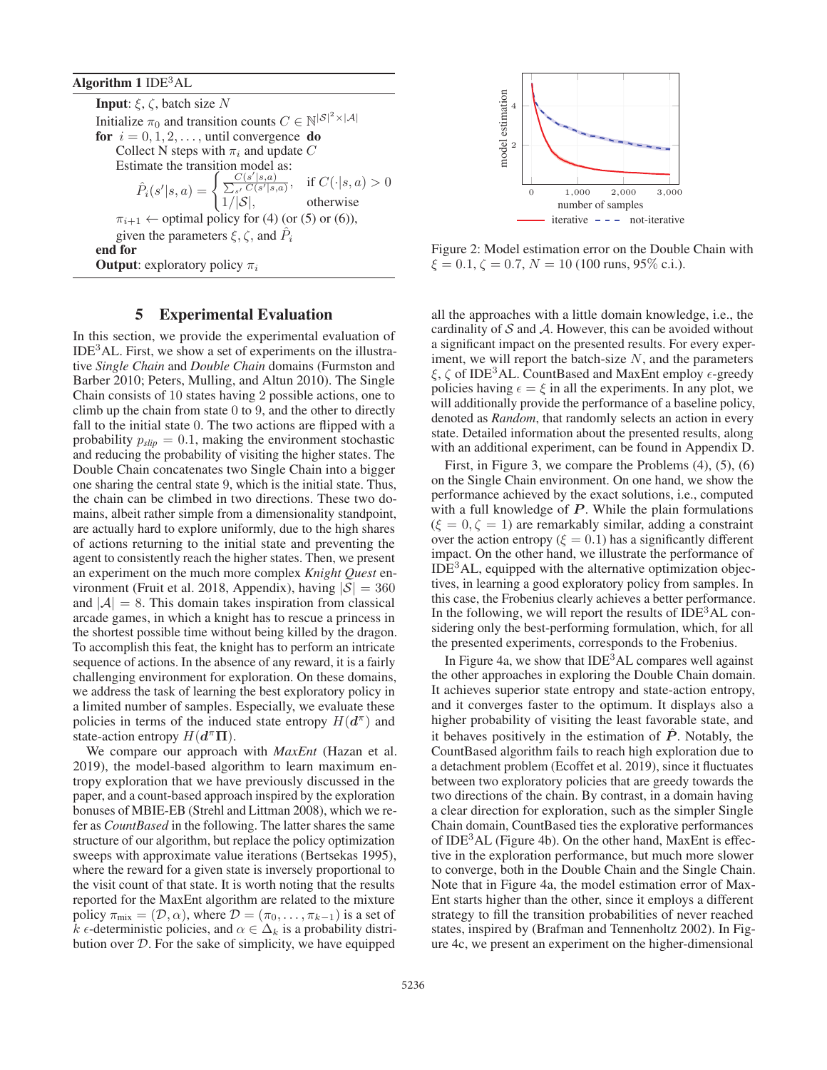Algorithm  $1$  IDE<sup>3</sup>AL

**Input:**  $\xi$ ,  $\zeta$ , batch size N Initialize  $\pi_0$  and transition counts  $C \in \mathbb{N}^{|\mathcal{S}|^2 \times |\mathcal{A}|}$ for  $i = 0, 1, 2, \ldots$ , until convergence do Collect N steps with  $\pi_i$  and update C Estimate the transition model as:  $\hat{P}_i(s'$  $|s,a\rangle = \begin{cases} \frac{C(s'|s,a)}{\sum_{s'} C(s'|s,a)}, & \text{if } C(\cdot|s,a) > 0 \\ 1/|S|, & \text{otherwise} \end{cases}$  $1/|\mathcal{S}|$ , otherwise  $\pi_{i+1} \leftarrow$  optimal policy for (4) (or (5) or (6)), given the parameters  $\xi, \zeta$ , and  $P_i$ end for **Output:** exploratory policy  $\pi_i$ 

### 5 Experimental Evaluation

In this section, we provide the experimental evaluation of  $IDE<sup>3</sup>AL$ . First, we show a set of experiments on the illustrative *Single Chain* and *Double Chain* domains (Furmston and Barber 2010; Peters, Mulling, and Altun 2010). The Single Chain consists of 10 states having 2 possible actions, one to climb up the chain from state 0 to 9, and the other to directly fall to the initial state 0. The two actions are flipped with a probability  $p_{slip} = 0.1$ , making the environment stochastic and reducing the probability of visiting the higher states. The Double Chain concatenates two Single Chain into a bigger one sharing the central state 9, which is the initial state. Thus, the chain can be climbed in two directions. These two domains, albeit rather simple from a dimensionality standpoint, are actually hard to explore uniformly, due to the high shares of actions returning to the initial state and preventing the agent to consistently reach the higher states. Then, we present an experiment on the much more complex *Knight Quest* environment (Fruit et al. 2018, Appendix), having  $|S| = 360$ and  $|A| = 8$ . This domain takes inspiration from classical arcade games, in which a knight has to rescue a princess in the shortest possible time without being killed by the dragon. To accomplish this feat, the knight has to perform an intricate sequence of actions. In the absence of any reward, it is a fairly challenging environment for exploration. On these domains, we address the task of learning the best exploratory policy in a limited number of samples. Especially, we evaluate these policies in terms of the induced state entropy  $H(d^{\pi})$  and state-action entropy  $H(d^{\pi}\Pi)$ .

We compare our approach with *MaxEnt* (Hazan et al. 2019), the model-based algorithm to learn maximum entropy exploration that we have previously discussed in the paper, and a count-based approach inspired by the exploration bonuses of MBIE-EB (Strehl and Littman 2008), which we refer as *CountBased* in the following. The latter shares the same structure of our algorithm, but replace the policy optimization sweeps with approximate value iterations (Bertsekas 1995), where the reward for a given state is inversely proportional to the visit count of that state. It is worth noting that the results reported for the MaxEnt algorithm are related to the mixture policy  $\pi_{mix} = (\mathcal{D}, \alpha)$ , where  $\mathcal{D} = (\pi_0, \dots, \pi_{k-1})$  is a set of  $k \in \text{deterministic policies, and } \alpha \in \Delta_k$  is a probability distribution over  $D$ . For the sake of simplicity, we have equipped



Figure 2: Model estimation error on the Double Chain with  $\xi = 0.1, \zeta = 0.7, N = 10$  (100 runs, 95% c.i.).

all the approaches with a little domain knowledge, i.e., the cardinality of  $S$  and  $A$ . However, this can be avoided without a significant impact on the presented results. For every experiment, we will report the batch-size  $N$ , and the parameters  $\xi, \zeta$  of IDE<sup>3</sup>AL. CountBased and MaxEnt employ  $\epsilon$ -greedy policies having  $\epsilon = \xi$  in all the experiments. In any plot, we will additionally provide the performance of a baseline policy, denoted as *Random*, that randomly selects an action in every state. Detailed information about the presented results, along with an additional experiment, can be found in Appendix D.

First, in Figure 3, we compare the Problems (4), (5), (6) on the Single Chain environment. On one hand, we show the performance achieved by the exact solutions, i.e., computed with a full knowledge of  $P$ . While the plain formulations  $(\xi = 0, \zeta = 1)$  are remarkably similar, adding a constraint over the action entropy ( $\xi = 0.1$ ) has a significantly different impact. On the other hand, we illustrate the performance of  $IDE<sup>3</sup>AL$ , equipped with the alternative optimization objectives, in learning a good exploratory policy from samples. In this case, the Frobenius clearly achieves a better performance. In the following, we will report the results of  $IDE<sup>3</sup>AL$  considering only the best-performing formulation, which, for all the presented experiments, corresponds to the Frobenius.

In Figure 4a, we show that IDE<sup>3</sup>AL compares well against the other approaches in exploring the Double Chain domain. It achieves superior state entropy and state-action entropy, and it converges faster to the optimum. It displays also a higher probability of visiting the least favorable state, and it behaves positively in the estimation of  $\hat{P}$ . Notably, the CountBased algorithm fails to reach high exploration due to a detachment problem (Ecoffet et al. 2019), since it fluctuates between two exploratory policies that are greedy towards the two directions of the chain. By contrast, in a domain having a clear direction for exploration, such as the simpler Single Chain domain, CountBased ties the explorative performances of IDE3AL (Figure 4b). On the other hand, MaxEnt is effective in the exploration performance, but much more slower to converge, both in the Double Chain and the Single Chain. Note that in Figure 4a, the model estimation error of Max-Ent starts higher than the other, since it employs a different strategy to fill the transition probabilities of never reached states, inspired by (Brafman and Tennenholtz 2002). In Figure 4c, we present an experiment on the higher-dimensional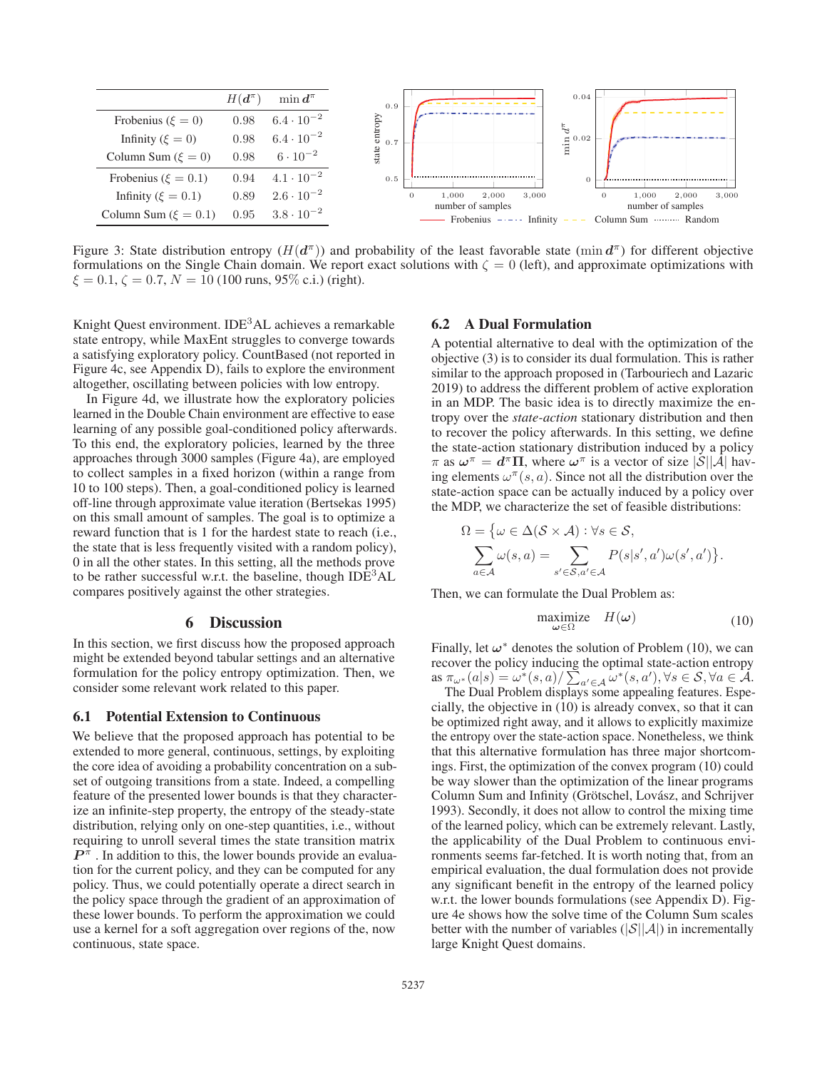

Figure 3: State distribution entropy  $(H(d^{\pi}))$  and probability of the least favorable state (min  $d^{\pi}$ ) for different objective formulations on the Single Chain domain. We report exact solutions with  $\zeta = 0$  (left), and approximate optimizations with  $\xi = 0.1$ ,  $\zeta = 0.7$ ,  $N = 10$  (100 runs, 95% c.i.) (right).

Knight Quest environment. IDE<sup>3</sup>AL achieves a remarkable state entropy, while MaxEnt struggles to converge towards a satisfying exploratory policy. CountBased (not reported in Figure 4c, see Appendix D), fails to explore the environment altogether, oscillating between policies with low entropy.

In Figure 4d, we illustrate how the exploratory policies learned in the Double Chain environment are effective to ease learning of any possible goal-conditioned policy afterwards. To this end, the exploratory policies, learned by the three approaches through 3000 samples (Figure 4a), are employed to collect samples in a fixed horizon (within a range from 10 to 100 steps). Then, a goal-conditioned policy is learned off-line through approximate value iteration (Bertsekas 1995) on this small amount of samples. The goal is to optimize a reward function that is 1 for the hardest state to reach (i.e., the state that is less frequently visited with a random policy), 0 in all the other states. In this setting, all the methods prove to be rather successful w.r.t. the baseline, though  $IDE<sup>3</sup>AL$ compares positively against the other strategies.

### 6 Discussion

In this section, we first discuss how the proposed approach might be extended beyond tabular settings and an alternative formulation for the policy entropy optimization. Then, we consider some relevant work related to this paper.

### 6.1 Potential Extension to Continuous

We believe that the proposed approach has potential to be extended to more general, continuous, settings, by exploiting the core idea of avoiding a probability concentration on a subset of outgoing transitions from a state. Indeed, a compelling feature of the presented lower bounds is that they characterize an infinite-step property, the entropy of the steady-state distribution, relying only on one-step quantities, i.e., without requiring to unroll several times the state transition matrix  $P^{\pi}$ . In addition to this, the lower bounds provide an evaluation for the current policy, and they can be computed for any policy. Thus, we could potentially operate a direct search in the policy space through the gradient of an approximation of these lower bounds. To perform the approximation we could use a kernel for a soft aggregation over regions of the, now continuous, state space.

### 6.2 A Dual Formulation

A potential alternative to deal with the optimization of the objective (3) is to consider its dual formulation. This is rather similar to the approach proposed in (Tarbouriech and Lazaric 2019) to address the different problem of active exploration in an MDP. The basic idea is to directly maximize the entropy over the *state-action* stationary distribution and then to recover the policy afterwards. In this setting, we define the state-action stationary distribution induced by a policy  $\pi$  as  $\omega^{\pi} = d^{\pi} \Pi$ , where  $\omega^{\pi}$  is a vector of size  $|\mathcal{S}||\mathcal{A}|$  having elements  $\omega^{\pi}(s, a)$ . Since not all the distribution over the state-action space can be actually induced by a policy over the MDP, we characterize the set of feasible distributions:

$$
\Omega = \{ \omega \in \Delta(\mathcal{S} \times \mathcal{A}) : \forall s \in \mathcal{S},
$$
  

$$
\sum_{a \in \mathcal{A}} \omega(s, a) = \sum_{s' \in \mathcal{S}, a' \in \mathcal{A}} P(s|s', a') \omega(s', a') \}.
$$

Then, we can formulate the Dual Problem as:

$$
\begin{array}{ll}\text{maximize} & H(\omega) \\ \omega \in \Omega \end{array} \tag{10}
$$

Finally, let  $\omega^*$  denotes the solution of Problem (10), we can recover the policy inducing the optimal state-action entropy  $\lim_{\alpha \to \infty} a_n^*(s) = \omega^*(s, a) / \sum_{a' \in \mathcal{A}} \omega^*(s, a'), \forall s \in \mathcal{S}, \forall a \in \mathcal{A}.$ 

The Dual Problem displays some appealing features. Especially, the objective in (10) is already convex, so that it can be optimized right away, and it allows to explicitly maximize the entropy over the state-action space. Nonetheless, we think that this alternative formulation has three major shortcomings. First, the optimization of the convex program (10) could be way slower than the optimization of the linear programs Column Sum and Infinity (Grötschel, Lovász, and Schrijver 1993). Secondly, it does not allow to control the mixing time of the learned policy, which can be extremely relevant. Lastly, the applicability of the Dual Problem to continuous environments seems far-fetched. It is worth noting that, from an empirical evaluation, the dual formulation does not provide any significant benefit in the entropy of the learned policy w.r.t. the lower bounds formulations (see Appendix D). Figure 4e shows how the solve time of the Column Sum scales better with the number of variables  $(|\mathcal{S}||\mathcal{A}|)$  in incrementally large Knight Quest domains.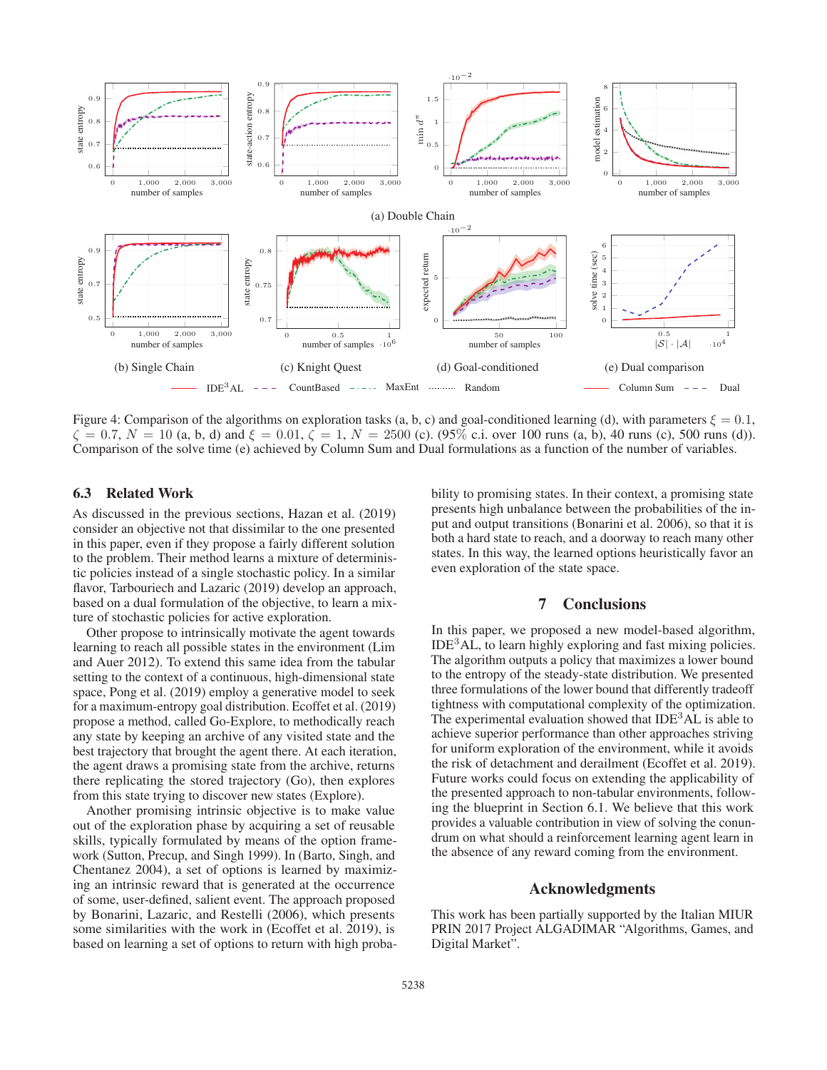

Figure 4: Comparison of the algorithms on exploration tasks (a, b, c) and goal-conditioned learning (d), with parameters  $\xi = 0.1$ ,  $\zeta = 0.7, N = 10$  (a, b, d) and  $\xi = 0.01, \zeta = 1, N = 2500$  (c). (95% c.i. over 100 runs (a, b), 40 runs (c), 500 runs (d)). Comparison of the solve time (e) achieved by Column Sum and Dual formulations as a function of the number of variables.

### 6.3 Related Work

As discussed in the previous sections, Hazan et al. (2019) consider an objective not that dissimilar to the one presented in this paper, even if they propose a fairly different solution to the problem. Their method learns a mixture of deterministic policies instead of a single stochastic policy. In a similar flavor, Tarbouriech and Lazaric (2019) develop an approach, based on a dual formulation of the objective, to learn a mixture of stochastic policies for active exploration.

Other propose to intrinsically motivate the agent towards learning to reach all possible states in the environment (Lim and Auer 2012). To extend this same idea from the tabular setting to the context of a continuous, high-dimensional state space, Pong et al. (2019) employ a generative model to seek for a maximum-entropy goal distribution. Ecoffet et al. (2019) propose a method, called Go-Explore, to methodically reach any state by keeping an archive of any visited state and the best trajectory that brought the agent there. At each iteration, the agent draws a promising state from the archive, returns there replicating the stored trajectory (Go), then explores from this state trying to discover new states (Explore).

Another promising intrinsic objective is to make value out of the exploration phase by acquiring a set of reusable skills, typically formulated by means of the option framework (Sutton, Precup, and Singh 1999). In (Barto, Singh, and Chentanez 2004), a set of options is learned by maximizing an intrinsic reward that is generated at the occurrence of some, user-defined, salient event. The approach proposed by Bonarini, Lazaric, and Restelli (2006), which presents some similarities with the work in (Ecoffet et al. 2019), is based on learning a set of options to return with high probability to promising states. In their context, a promising state presents high unbalance between the probabilities of the input and output transitions (Bonarini et al. 2006), so that it is both a hard state to reach, and a doorway to reach many other states. In this way, the learned options heuristically favor an even exploration of the state space.

### 7 Conclusions

In this paper, we proposed a new model-based algorithm,  $IDE<sup>3</sup>AL$ , to learn highly exploring and fast mixing policies. The algorithm outputs a policy that maximizes a lower bound to the entropy of the steady-state distribution. We presented three formulations of the lower bound that differently tradeoff tightness with computational complexity of the optimization. The experimental evaluation showed that  $IDE<sup>3</sup>AL$  is able to achieve superior performance than other approaches striving for uniform exploration of the environment, while it avoids the risk of detachment and derailment (Ecoffet et al. 2019). Future works could focus on extending the applicability of the presented approach to non-tabular environments, following the blueprint in Section 6.1. We believe that this work provides a valuable contribution in view of solving the conundrum on what should a reinforcement learning agent learn in the absence of any reward coming from the environment.

### Acknowledgments

This work has been partially supported by the Italian MIUR PRIN 2017 Project ALGADIMAR "Algorithms, Games, and Digital Market".